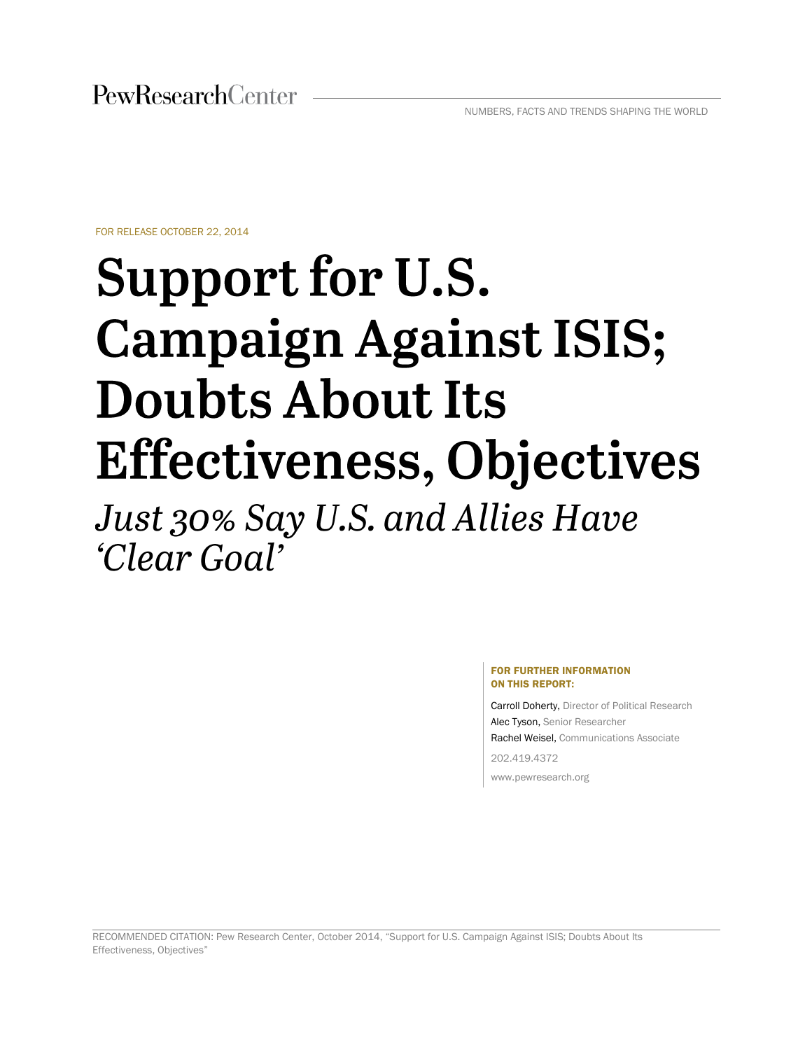FOR RELEASE OCTOBER 22, 2014

# Support for U.S. **Campaign Against ISIS; Doubts About Its Effectiveness, Objectives**

Just 30% Say U.S. and Allies Have *'Clear Goal'* 

#### FOR FURTHER INFORMATION ON THIS REPORT:

Carroll Doherty, Director of Political Research Alec Tyson, Senior Researcher Rachel Weisel, Communications Associate 202.419.4372

www.pewresearch.org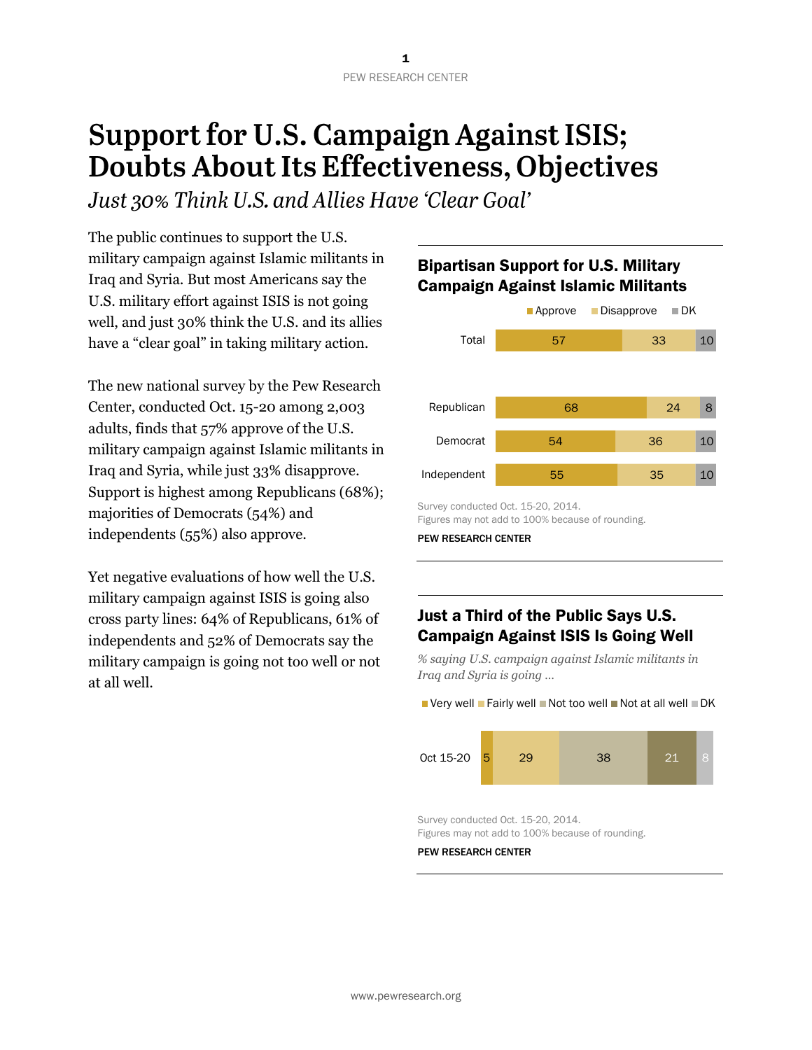## **Support for U.S. Campaign Against ISIS;** Doubts About Its Effectiveness, Objectives

Just 30% Think U.S. and Allies Have 'Clear Goal'

The public continues to support the U.S. military campaign against Islamic militants in Iraq and Syria. But most Americans say the U.S. military effort against ISIS is not going well, and just 30% think the U.S. and its allies have a "clear goal" in taking military action.

The new national survey by the Pew Research Center, conducted Oct. 15-20 among 2,003 adults, finds that 57% approve of the U.S. military campaign against Islamic militants in Iraq and Syria, while just 33% disapprove. Support is highest among Republicans (68%); majorities of Democrats (54%) and independents (55%) also approve.

Yet negative evaluations of how well the U.S. military campaign against ISIS is going also cross party lines: 64% of Republicans, 61% of independents and 52% of Democrats say the military campaign is going not too well or not at all well.



Bipartisan Support for U.S. Military Campaign Against Islamic Militants

PEW RESEARCH CENTER

## Just a Third of the Public Says U.S. Campaign Against ISIS Is Going Well

*% saying U.S. campaign against Islamic militants in Iraq and Syria is going …*





Survey conducted Oct. 15-20, 2014. Figures may not add to 100% because of rounding.

Survey conducted Oct. 15-20, 2014. Figures may not add to 100% because of rounding.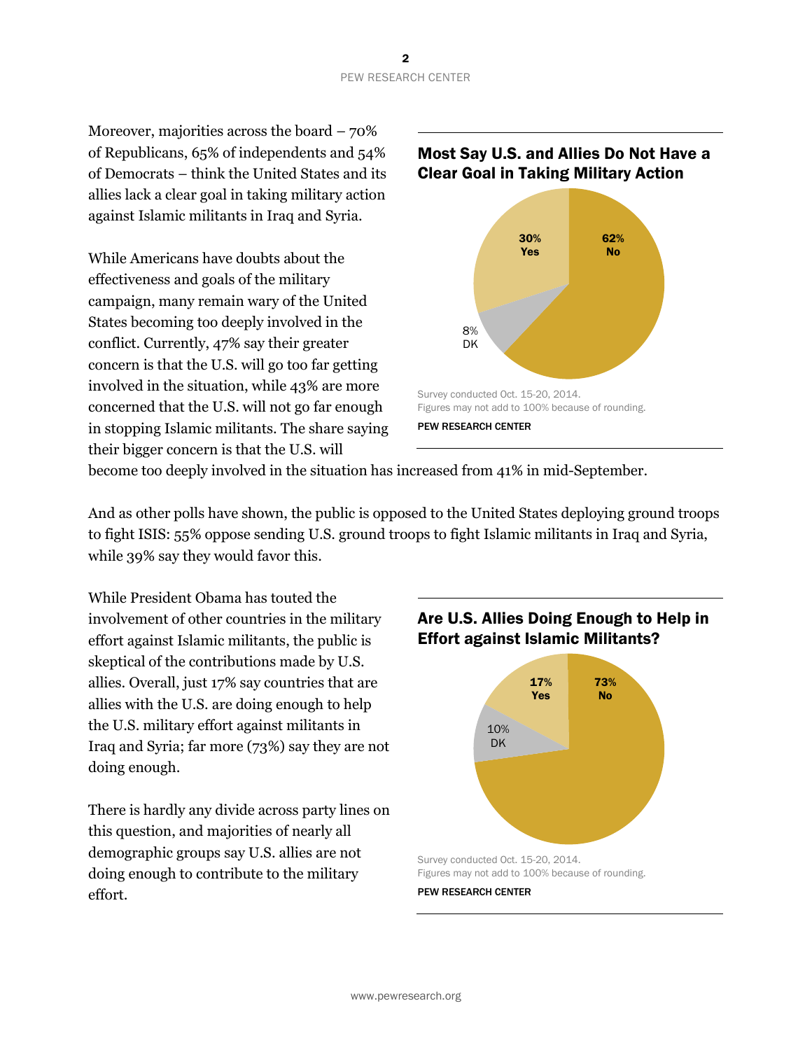Moreover, majorities across the board – 70% of Republicans, 65% of independents and 54% of Democrats – think the United States and its allies lack a clear goal in taking military action against Islamic militants in Iraq and Syria.

While Americans have doubts about the effectiveness and goals of the military campaign, many remain wary of the United States becoming too deeply involved in the conflict. Currently, 47% say their greater concern is that the U.S. will go too far getting involved in the situation, while 43% are more concerned that the U.S. will not go far enough in stopping Islamic militants. The share saying their bigger concern is that the U.S. will

### Most Say U.S. and Allies Do Not Have a Clear Goal in Taking Military Action



become too deeply involved in the situation has increased from 41% in mid-September.

And as other polls have shown, the public is opposed to the United States deploying ground troops to fight ISIS: 55% oppose sending U.S. ground troops to fight Islamic militants in Iraq and Syria, while 39% say they would favor this.

While President Obama has touted the involvement of other countries in the military effort against Islamic militants, the public is skeptical of the contributions made by U.S. allies. Overall, just 17% say countries that are allies with the U.S. are doing enough to help the U.S. military effort against militants in Iraq and Syria; far more (73%) say they are not doing enough.

There is hardly any divide across party lines on this question, and majorities of nearly all demographic groups say U.S. allies are not doing enough to contribute to the military effort.

## Are U.S. Allies Doing Enough to Help in Effort against Islamic Militants?



Figures may not add to 100% because of rounding.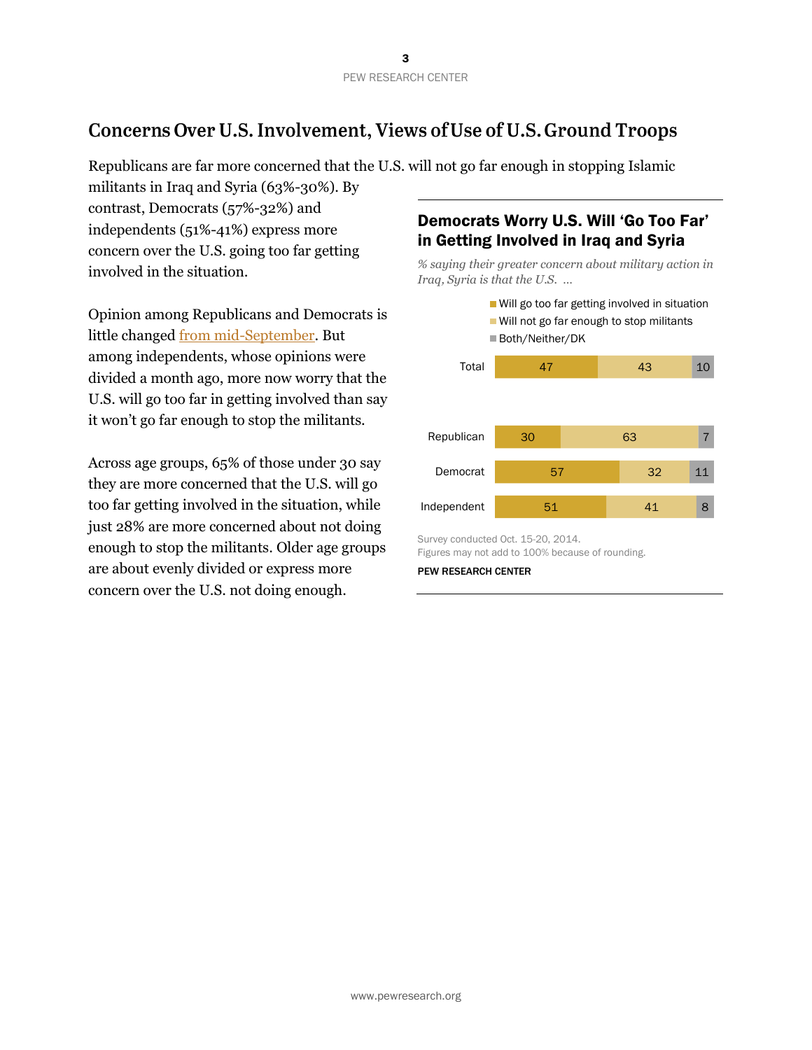## Concerns Over U.S. Involvement, Views of Use of U.S. Ground Troops

Republicans are far more concerned that the U.S. will not go far enough in stopping Islamic

militants in Iraq and Syria (63%-30%). By contrast, Democrats (57%-32%) and independents (51%-41%) express more concern over the U.S. going too far getting involved in the situation.

Opinion among Republicans and Democrats is little changed [from mid-September.](http://www.people-press.org/2014/09/15/bipartisan-support-for-obamas-military-campaign-against-isis/) But among independents, whose opinions were divided a month ago, more now worry that the U.S. will go too far in getting involved than say it won't go far enough to stop the militants.

Across age groups, 65% of those under 30 say they are more concerned that the U.S. will go too far getting involved in the situation, while just 28% are more concerned about not doing enough to stop the militants. Older age groups are about evenly divided or express more concern over the U.S. not doing enough.

## Democrats Worry U.S. Will 'Go Too Far' in Getting Involved in Iraq and Syria

*% saying their greater concern about military action in Iraq, Syria is that the U.S. …*



Survey conducted Oct. 15-20, 2014. Figures may not add to 100% because of rounding.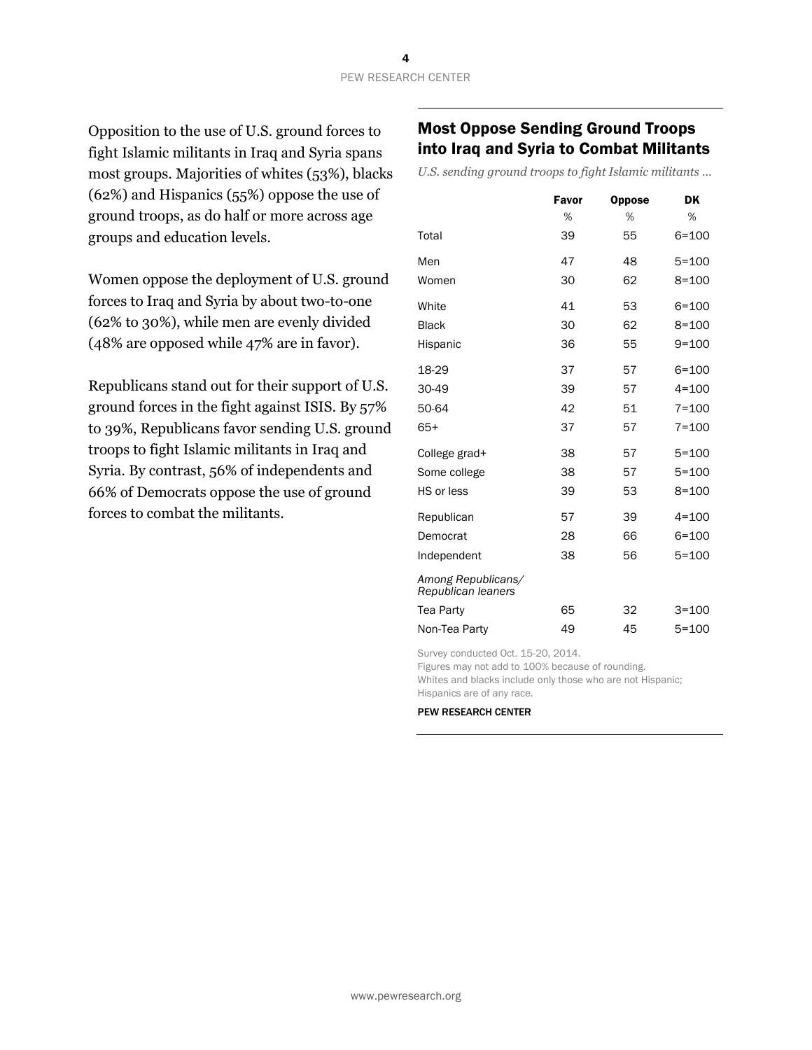Opposition to the use of U.S. ground forces to fight Islamic militants in Iraq and Syria spans most groups. Majorities of whites (53%), blacks (62%) and Hispanics (55%) oppose the use of ground troops, as do half or more across age groups and education levels.

Women oppose the deployment of U.S. ground forces to Iraq and Syria by about two-to-one (62% to 30%), while men are evenly divided (48% are opposed while 47% are in favor).

Republicans stand out for their support of U.S. ground forces in the fight against ISIS. By 57% to 39%, Republicans favor sending U.S. ground troops to fight Islamic militants in Iraq and Syria. By contrast, 56% of independents and 66% of Democrats oppose the use of ground forces to combat the militants.

## Most Oppose Sending Ground Troops into Iraq and Syria to Combat Militants

*U.S. sending ground troops to fight Islamic militants …*

|                                          | Favor | <b>Oppose</b> | DK        |
|------------------------------------------|-------|---------------|-----------|
|                                          | %     | %             | %         |
| Total                                    | 39    | 55            | 6=100     |
| Men                                      | 47    | 48            | $5 = 100$ |
| Women                                    | 30    | 62            | $8 = 100$ |
| White                                    | 41    | 53            | $6 = 100$ |
| <b>Black</b>                             | 30    | 62            | $8 = 100$ |
| Hispanic                                 | 36    | 55            | $9 = 100$ |
| 18-29                                    | 37    | 57            | $6 = 100$ |
| 30-49                                    | 39    | 57            | $4 = 100$ |
| 50-64                                    | 42    | 51            | $7 = 100$ |
| $65+$                                    | 37    | 57            | $7 = 100$ |
| College grad+                            | 38    | 57            | $5 = 100$ |
| Some college                             | 38    | 57            | $5 = 100$ |
| HS or less                               | 39    | 53            | $8 = 100$ |
| Republican                               | 57    | 39            | $4 = 100$ |
| Democrat                                 | 28    | 66            | $6 = 100$ |
| Independent                              | 38    | 56            | $5 = 100$ |
| Among Republicans/<br>Republican leaners |       |               |           |
| Tea Party                                | 65    | 32            | $3 = 100$ |
| Non-Tea Party                            | 49    | 45            | $5 = 100$ |

Survey conducted Oct. 15-20, 2014.

Figures may not add to 100% because of rounding.

Whites and blacks include only those who are not Hispanic; Hispanics are of any race.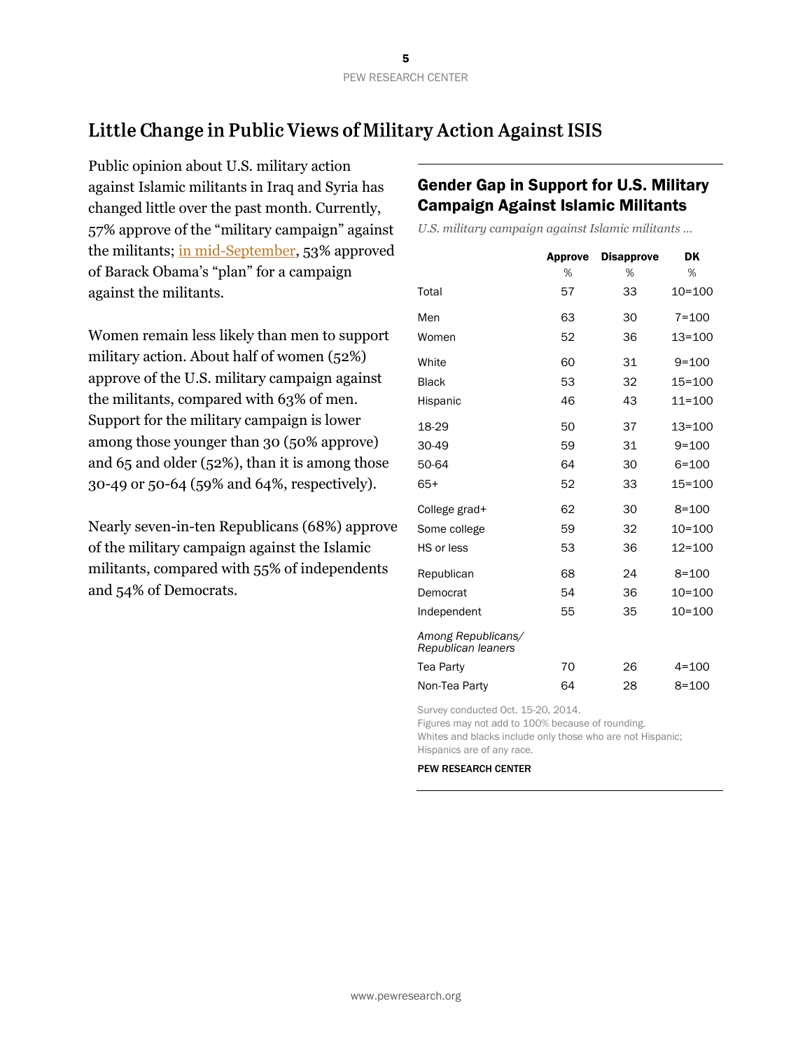## Little Change in Public Views of Military Action Against ISIS

Public opinion about U.S. military action against Islamic militants in Iraq and Syria has changed little over the past month. Currently, 57% approve of the "military campaign" against the militants; [in mid-September,](http://www.people-press.org/2014/09/15/bipartisan-support-for-obamas-military-campaign-against-isis/) 53% approved of Barack Obama's "plan" for a campaign against the militants.

Women remain less likely than men to support military action. About half of women (52%) approve of the U.S. military campaign against the militants, compared with 63% of men. Support for the military campaign is lower among those younger than 30 (50% approve) and 65 and older (52%), than it is among those 30-49 or 50-64 (59% and 64%, respectively).

Nearly seven-in-ten Republicans (68%) approve of the military campaign against the Islamic militants, compared with 55% of independents and 54% of Democrats.

## Gender Gap in Support for U.S. Military Campaign Against Islamic Militants

*U.S. military campaign against Islamic militants …*

|                                          | <b>Approve</b> | <b>Disapprove</b> | DK         |
|------------------------------------------|----------------|-------------------|------------|
|                                          | %              | %                 | %          |
| Total                                    | 57             | 33                | $10 = 100$ |
| Men                                      | 63             | 30                | $7 = 100$  |
| Women                                    | 52             | 36                | $13 = 100$ |
| White                                    | 60             | 31                | $9 = 100$  |
| <b>Black</b>                             | 53             | 32                | $15 = 100$ |
| Hispanic                                 | 46             | 43                | $11 = 100$ |
| 18-29                                    | 50             | 37                | $13 = 100$ |
| 30-49                                    | 59             | 31                | $9 = 100$  |
| 50-64                                    | 64             | 30                | $6 = 100$  |
| $65+$                                    | 52             | 33                | $15 = 100$ |
| College grad+                            | 62             | 30                | $8 = 100$  |
| Some college                             | 59             | 32                | $10 = 100$ |
| HS or less                               | 53             | 36                | $12 = 100$ |
| Republican                               | 68             | 24                | $8 = 100$  |
| Democrat                                 | 54             | 36                | $10 = 100$ |
| Independent                              | 55             | 35                | $10 = 100$ |
| Among Republicans/<br>Republican leaners |                |                   |            |
| Tea Party                                | 70             | 26                | $4 = 100$  |
| Non-Tea Party                            | 64             | 28                | $8 = 100$  |

Survey conducted Oct. 15-20, 2014.

Figures may not add to 100% because of rounding. Whites and blacks include only those who are not Hispanic; Hispanics are of any race.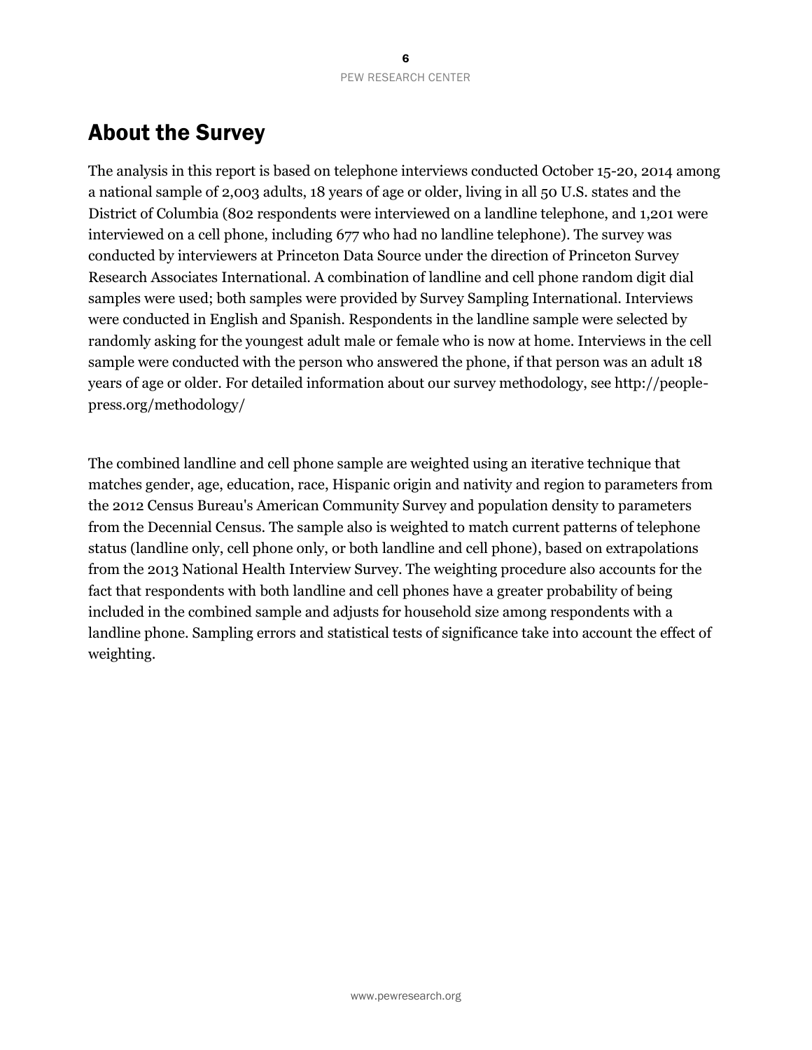## About the Survey

The analysis in this report is based on telephone interviews conducted October 15-20, 2014 among a national sample of 2,003 adults, 18 years of age or older, living in all 50 U.S. states and the District of Columbia (802 respondents were interviewed on a landline telephone, and 1,201 were interviewed on a cell phone, including 677 who had no landline telephone). The survey was conducted by interviewers at Princeton Data Source under the direction of Princeton Survey Research Associates International. A combination of landline and cell phone random digit dial samples were used; both samples were provided by Survey Sampling International. Interviews were conducted in English and Spanish. Respondents in the landline sample were selected by randomly asking for the youngest adult male or female who is now at home. Interviews in the cell sample were conducted with the person who answered the phone, if that person was an adult 18 years of age or older. For detailed information about our survey methodology, see http://peoplepress.org/methodology/

The combined landline and cell phone sample are weighted using an iterative technique that matches gender, age, education, race, Hispanic origin and nativity and region to parameters from the 2012 Census Bureau's American Community Survey and population density to parameters from the Decennial Census. The sample also is weighted to match current patterns of telephone status (landline only, cell phone only, or both landline and cell phone), based on extrapolations from the 2013 National Health Interview Survey. The weighting procedure also accounts for the fact that respondents with both landline and cell phones have a greater probability of being included in the combined sample and adjusts for household size among respondents with a landline phone. Sampling errors and statistical tests of significance take into account the effect of weighting.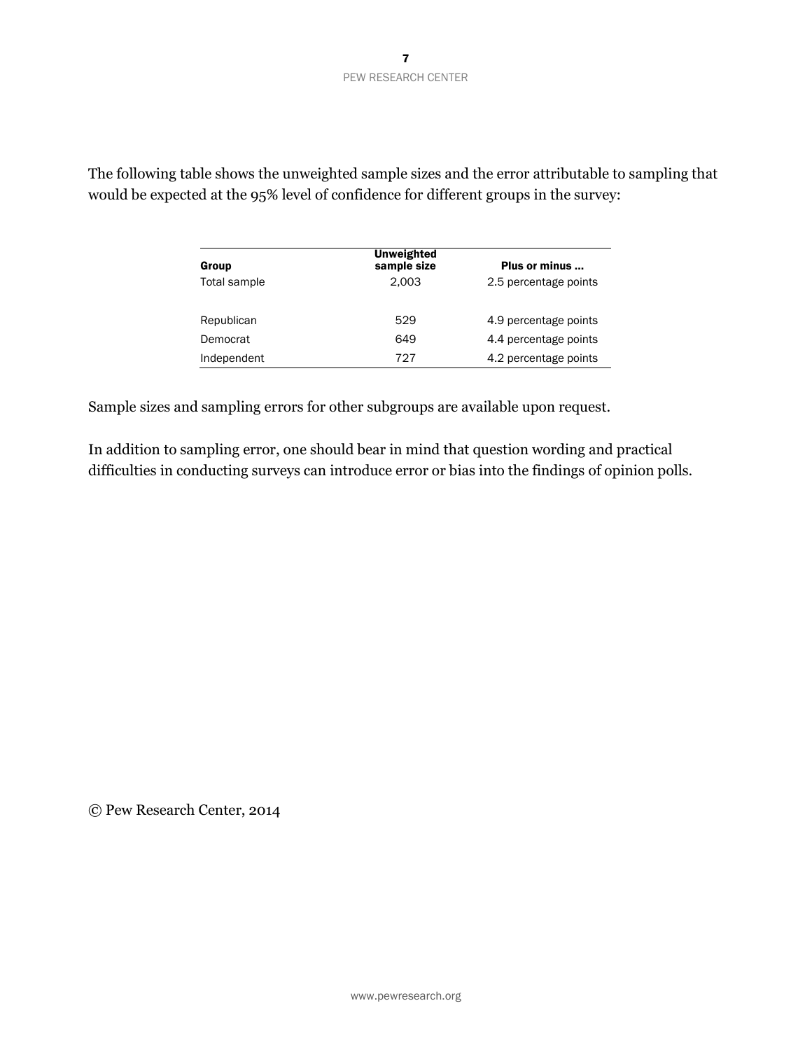| Group        | <b>Unweighted</b><br>sample size | Plus or minus         |
|--------------|----------------------------------|-----------------------|
| Total sample | 2.003                            | 2.5 percentage points |
| Republican   | 529                              | 4.9 percentage points |
| Democrat     | 649                              | 4.4 percentage points |
| Independent  | 727                              | 4.2 percentage points |

The following table shows the unweighted sample sizes and the error attributable to sampling that would be expected at the 95% level of confidence for different groups in the survey:

Sample sizes and sampling errors for other subgroups are available upon request.

In addition to sampling error, one should bear in mind that question wording and practical difficulties in conducting surveys can introduce error or bias into the findings of opinion polls.

© Pew Research Center, 2014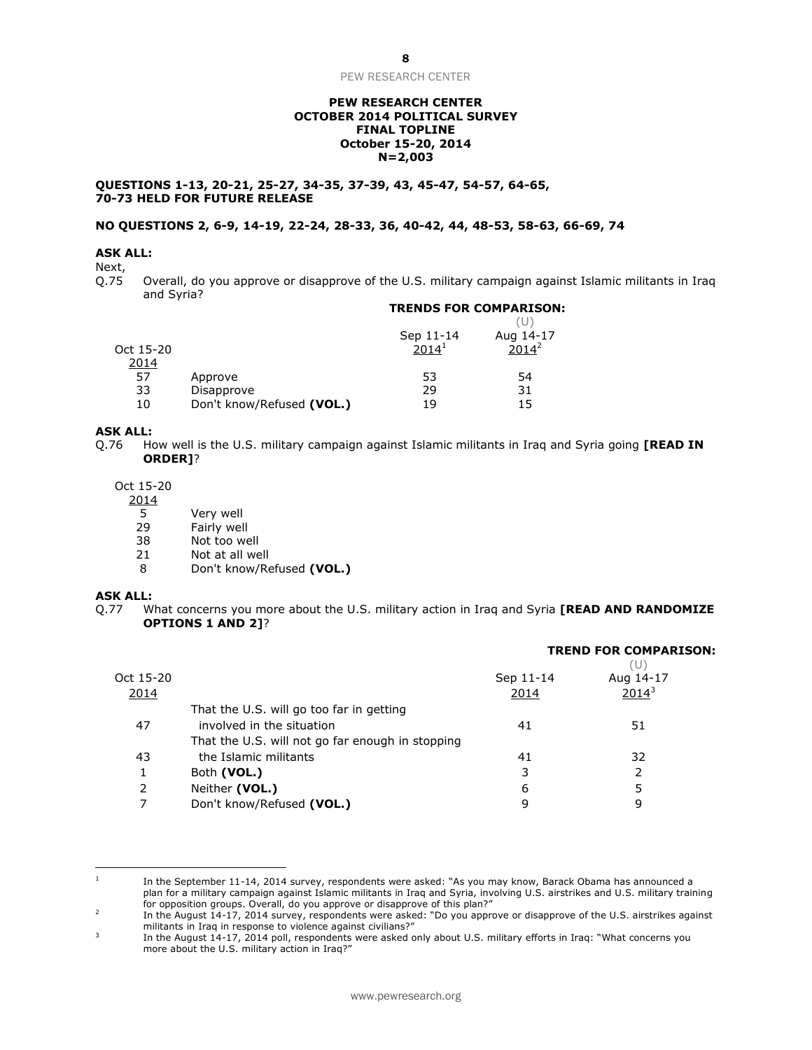#### **PEW RESEARCH CENTER OCTOBER 2014 POLITICAL SURVEY FINAL TOPLINE October 15-20, 2014 N=2,003**

**QUESTIONS 1-13, 20-21, 25-27, 34-35, 37-39, 43, 45-47, 54-57, 64-65, 70-73 HELD FOR FUTURE RELEASE**

#### **NO QUESTIONS 2, 6-9, 14-19, 22-24, 28-33, 36, 40-42, 44, 48-53, 58-63, 66-69, 74**

#### **ASK ALL:**

Next,

Q.75 Overall, do you approve or disapprove of the U.S. military campaign against Islamic militants in Iraq and Syria? **TRENDS FOR COMPARISON:**

|           |                           | Sep 11-14         | Aug 14-17 |
|-----------|---------------------------|-------------------|-----------|
| Oct 15-20 |                           | 2014 <sup>1</sup> | $2014^2$  |
| 2014      |                           |                   |           |
| 57        | Approve                   | 53                | 54        |
| 33        | Disapprove                | 29                | 31        |
| 10        | Don't know/Refused (VOL.) | 19                | 15        |

#### **ASK ALL:**

Q.76 How well is the U.S. military campaign against Islamic militants in Iraq and Syria going **[READ IN ORDER]**?

Oct 15-20

- 2014
	-
	- 5 Very well<br>29 Fairly wel 29 Fairly well<br>38 Not too we
	- 38 Not too well<br>21 Not at all we
	- 21 Not at all well<br>8 Don't know/Re
	- 8 Don't know/Refused **(VOL.)**

#### **ASK ALL:**

 $\overline{a}$ 

Q.77 What concerns you more about the U.S. military action in Iraq and Syria **[READ AND RANDOMIZE OPTIONS 1 AND 2]**?

|           |                                                  |           | <b>TREND FOR COMPARISON:</b><br>(U) |  |
|-----------|--------------------------------------------------|-----------|-------------------------------------|--|
| Oct 15-20 |                                                  | Sep 11-14 | Aug 14-17                           |  |
| 2014      |                                                  | 2014      | $2014^3$                            |  |
|           | That the U.S. will go too far in getting         |           |                                     |  |
| 47        | involved in the situation                        | 41        | 51                                  |  |
|           | That the U.S. will not go far enough in stopping |           |                                     |  |
| 43        | the Islamic militants                            | 41        | 32                                  |  |
| 1         | Both (VOL.)                                      | 3         |                                     |  |
| 2         | Neither (VOL.)                                   | 6         |                                     |  |
|           | Don't know/Refused (VOL.)                        | q         | 9                                   |  |
|           |                                                  |           |                                     |  |

<sup>1</sup> In the September 11-14, 2014 survey, respondents were asked: "As you may know, Barack Obama has announced a plan for a military campaign against Islamic militants in Iraq and Syria, involving U.S. airstrikes and U.S. military training for opposition groups. Overall, do you approve or disapprove of this plan?"

<sup>2</sup> In the August 14-17, 2014 survey, respondents were asked: "Do you approve or disapprove of the U.S. airstrikes against militants in Iraq in response to violence against civilians?"

<sup>3</sup> In the August 14-17, 2014 poll, respondents were asked only about U.S. military efforts in Iraq: "What concerns you more about the U.S. military action in Iraq?"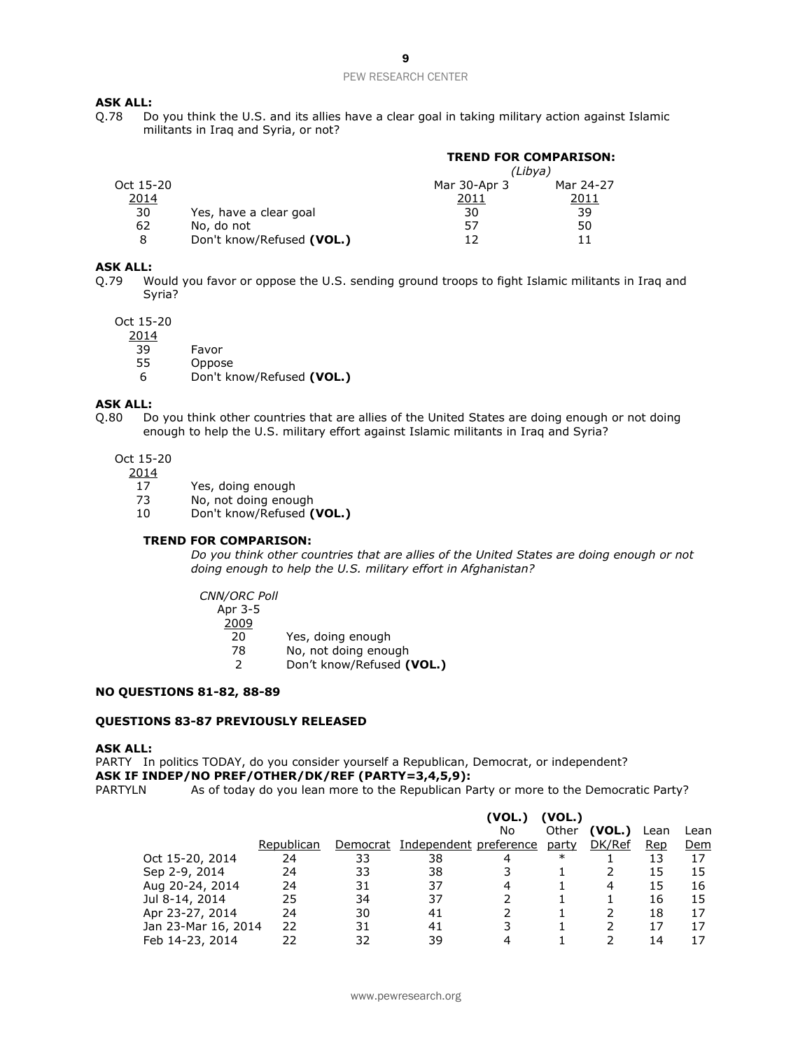#### **ASK ALL:**

Q.78 Do you think the U.S. and its allies have a clear goal in taking military action against Islamic militants in Iraq and Syria, or not?

|           |                           | <b>TREND FOR COMPARISON:</b> |           |
|-----------|---------------------------|------------------------------|-----------|
|           |                           | (Libya)                      |           |
| Oct 15-20 |                           | Mar 30-Apr 3                 | Mar 24-27 |
| 2014      |                           | 2011                         | 2011      |
| 30        | Yes, have a clear goal    | 30                           | 39        |
| 62        | No, do not                | 57                           | 50        |
| 8         | Don't know/Refused (VOL.) | 17                           | 11        |

#### **ASK ALL:**

Q.79 Would you favor or oppose the U.S. sending ground troops to fight Islamic militants in Iraq and Syria?

Oct 15-20

2014

- 39 Favor
- 55 Oppose
- 6 Don't know/Refused **(VOL.)**

#### **ASK ALL:**

- Q.80 Do you think other countries that are allies of the United States are doing enough or not doing enough to help the U.S. military effort against Islamic militants in Iraq and Syria?
	- Oct 15-20
		- 2014
			- 17 Yes, doing enough
			- 73 No, not doing enough
			- 10 Don't know/Refused **(VOL.)**

#### **TREND FOR COMPARISON:**

*Do you think other countries that are allies of the United States are doing enough or not doing enough to help the U.S. military effort in Afghanistan?*

*CNN/ORC Poll* Apr 3-5 2009 20 Yes, doing enough

- 78 No, not doing enough<br>2 Don't know/Refused (
	- 2 Don't know/Refused **(VOL.)**

#### **NO QUESTIONS 81-82, 88-89**

#### **QUESTIONS 83-87 PREVIOUSLY RELEASED**

#### **ASK ALL:**

PARTY In politics TODAY, do you consider yourself a Republican, Democrat, or independent? **ASK IF INDEP/NO PREF/OTHER/DK/REF (PARTY=3,4,5,9):** PARTYLN As of today do you lean more to the Republican Party or more to the Democratic Party?

|                     |            |          |                        | (VOL.) | (VOL.) |        |      |      |
|---------------------|------------|----------|------------------------|--------|--------|--------|------|------|
|                     |            |          |                        | No     | Other  | (VOL.) | Lean | Lean |
|                     | Republican | Democrat | Independent preference |        | party  | DK/Ref | Rep  | Dem  |
| Oct 15-20, 2014     | 24         | 33       | 38                     |        | $\ast$ |        | 13   | 17   |
| Sep 2-9, 2014       | 24         | 33       | 38                     |        |        |        | 15   | 15   |
| Aug 20-24, 2014     | 24         | 31       | 37                     | 4      |        | 4      | 15   | 16   |
| Jul 8-14, 2014      | 25         | 34       | 37                     |        |        |        | 16   | 15   |
| Apr 23-27, 2014     | 24         | 30       | 41                     |        |        |        | 18   | 17   |
| Jan 23-Mar 16, 2014 | 22         | 31       | 41                     | 3      |        |        | 17   | 17   |
| Feb 14-23, 2014     | 22         | 32       | 39                     |        |        |        | 14   | 17   |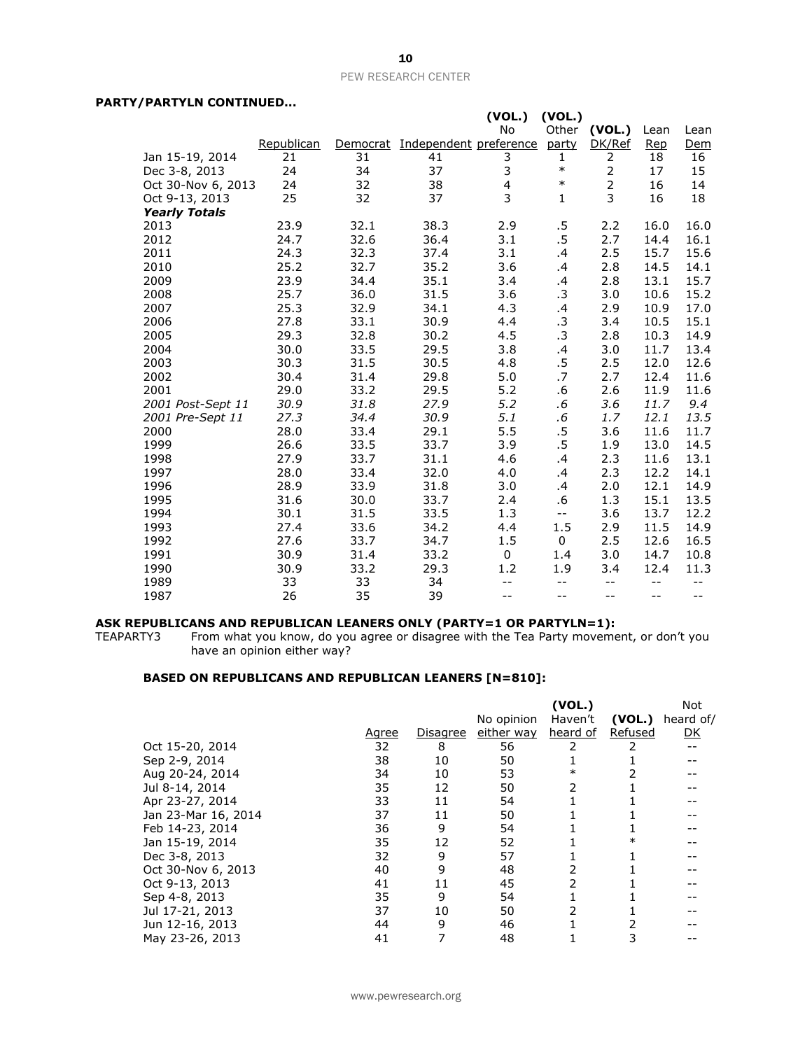#### **PARTY/PARTYLN CONTINUED...**

|                      |            |      |                                 | (VOL.) | (VOL.)       |                |            |       |
|----------------------|------------|------|---------------------------------|--------|--------------|----------------|------------|-------|
|                      |            |      |                                 | No     | Other        | (VOL.)         | Lean       | Lean  |
|                      | Republican |      | Democrat Independent preference |        | party        | DK/Ref         | <b>Rep</b> | Dem   |
| Jan 15-19, 2014      | 21         | 31   | 41                              | 3      | 1            | 2              | 18         | 16    |
| Dec 3-8, 2013        | 24         | 34   | 37                              | 3      | $\ast$       | $\overline{2}$ | 17         | 15    |
| Oct 30-Nov 6, 2013   | 24         | 32   | 38                              | 4      | $\ast$       | $\overline{2}$ | 16         | 14    |
| Oct 9-13, 2013       | 25         | 32   | 37                              | 3      | $\mathbf{1}$ | 3              | 16         | 18    |
| <b>Yearly Totals</b> |            |      |                                 |        |              |                |            |       |
| 2013                 | 23.9       | 32.1 | 38.3                            | 2.9    | .5           | 2.2            | 16.0       | 16.0  |
| 2012                 | 24.7       | 32.6 | 36.4                            | 3.1    | .5           | 2.7            | 14.4       | 16.1  |
| 2011                 | 24.3       | 32.3 | 37.4                            | 3.1    | .4           | 2.5            | 15.7       | 15.6  |
| 2010                 | 25.2       | 32.7 | 35.2                            | 3.6    | .4           | 2.8            | 14.5       | 14.1  |
| 2009                 | 23.9       | 34.4 | 35.1                            | 3.4    | $\cdot$      | 2.8            | 13.1       | 15.7  |
| 2008                 | 25.7       | 36.0 | 31.5                            | 3.6    | .3           | 3.0            | 10.6       | 15.2  |
| 2007                 | 25.3       | 32.9 | 34.1                            | 4.3    | $\cdot$      | 2.9            | 10.9       | 17.0  |
| 2006                 | 27.8       | 33.1 | 30.9                            | 4.4    | .3           | 3.4            | 10.5       | 15.1  |
| 2005                 | 29.3       | 32.8 | 30.2                            | 4.5    | .3           | 2.8            | 10.3       | 14.9  |
| 2004                 | 30.0       | 33.5 | 29.5                            | 3.8    | .4           | 3.0            | 11.7       | 13.4  |
| 2003                 | 30.3       | 31.5 | 30.5                            | 4.8    | .5           | 2.5            | 12.0       | 12.6  |
| 2002                 | 30.4       | 31.4 | 29.8                            | 5.0    | .7           | 2.7            | 12.4       | 11.6  |
| 2001                 | 29.0       | 33.2 | 29.5                            | 5.2    | .6           | 2.6            | 11.9       | 11.6  |
| 2001 Post-Sept 11    | 30.9       | 31.8 | 27.9                            | 5.2    | $.6\,$       | 3.6            | 11.7       | 9.4   |
| 2001 Pre-Sept 11     | 27.3       | 34.4 | 30.9                            | 5.1    | $.6\,$       | 1.7            | 12.1       | 13.5  |
| 2000                 | 28.0       | 33.4 | 29.1                            | 5.5    | $.5\,$       | 3.6            | 11.6       | 11.7  |
| 1999                 | 26.6       | 33.5 | 33.7                            | 3.9    | .5           | 1.9            | 13.0       | 14.5  |
| 1998                 | 27.9       | 33.7 | 31.1                            | 4.6    | .4           | 2.3            | 11.6       | 13.1  |
| 1997                 | 28.0       | 33.4 | 32.0                            | 4.0    | .4           | 2.3            | 12.2       | 14.1  |
| 1996                 | 28.9       | 33.9 | 31.8                            | 3.0    | .4           | 2.0            | 12.1       | 14.9  |
| 1995                 | 31.6       | 30.0 | 33.7                            | 2.4    | .6           | 1.3            | 15.1       | 13.5  |
| 1994                 | 30.1       | 31.5 | 33.5                            | 1.3    | $-$          | 3.6            | 13.7       | 12.2  |
| 1993                 | 27.4       | 33.6 | 34.2                            | 4.4    | 1.5          | 2.9            | 11.5       | 14.9  |
| 1992                 | 27.6       | 33.7 | 34.7                            | 1.5    | $\Omega$     | 2.5            | 12.6       | 16.5  |
| 1991                 | 30.9       | 31.4 | 33.2                            | 0      | 1.4          | 3.0            | 14.7       | 10.8  |
| 1990                 | 30.9       | 33.2 | 29.3                            | 1.2    | 1.9          | 3.4            | 12.4       | 11.3  |
| 1989                 | 33         | 33   | 34                              | $-$    | $-$          | $-$            | $-$        | $-$   |
| 1987                 | 26         | 35   | 39                              | $-1$   | --           | $-$            | --         | $- -$ |

#### **ASK REPUBLICANS AND REPUBLICAN LEANERS ONLY (PARTY=1 OR PARTYLN=1):**

TEAPARTY3 From what you know, do you agree or disagree with the Tea Party movement, or don't you have an opinion either way?

#### **BASED ON REPUBLICANS AND REPUBLICAN LEANERS [N=810]:**

|                     |       |          |            | (VOL.)   |         | <b>Not</b> |
|---------------------|-------|----------|------------|----------|---------|------------|
|                     |       |          | No opinion | Haven't  | (VOL.)  | heard of/  |
|                     | Agree | Disagree | either way | heard of | Refused | <u>DK</u>  |
| Oct 15-20, 2014     | 32    | 8        | 56         |          |         |            |
| Sep 2-9, 2014       | 38    | 10       | 50         |          |         |            |
| Aug 20-24, 2014     | 34    | 10       | 53         | $\ast$   |         |            |
| Jul 8-14, 2014      | 35    | 12       | 50         | 2        |         |            |
| Apr 23-27, 2014     | 33    | 11       | 54         |          |         |            |
| Jan 23-Mar 16, 2014 | 37    | 11       | 50         |          |         |            |
| Feb 14-23, 2014     | 36    | 9        | 54         |          |         |            |
| Jan 15-19, 2014     | 35    | 12       | 52         |          |         |            |
| Dec 3-8, 2013       | 32    | 9        | 57         |          |         |            |
| Oct 30-Nov 6, 2013  | 40    | 9        | 48         |          |         |            |
| Oct 9-13, 2013      | 41    | 11       | 45         | 2        |         |            |
| Sep 4-8, 2013       | 35    | 9        | 54         |          |         |            |
| Jul 17-21, 2013     | 37    | 10       | 50         | 2        |         |            |
| Jun 12-16, 2013     | 44    | 9        | 46         |          |         |            |
| May 23-26, 2013     | 41    |          | 48         |          |         |            |